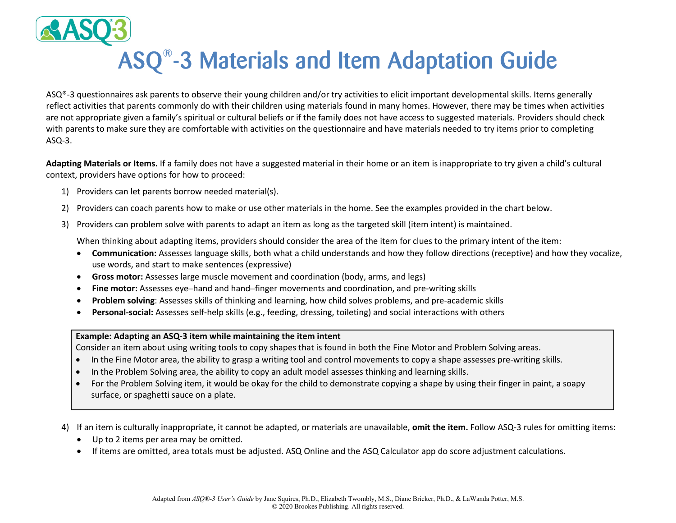

## ASQ® -3 Materials and Item Adaptation Guide

ASQ®-3 questionnaires ask parents to observe their young children and/or try activities to elicit important developmental skills. Items generally reflect activities that parents commonly do with their children using materials found in many homes. However, there may be times when activities are not appropriate given a family's spiritual or cultural beliefs or if the family does not have access to suggested materials. Providers should check with parents to make sure they are comfortable with activities on the questionnaire and have materials needed to try items prior to completing ASQ-3.

**Adapting Materials or Items.** If a family does not have a suggested material in their home or an item is inappropriate to try given a child's cultural context, providers have options for how to proceed:

- 1) Providers can let parents borrow needed material(s).
- 2) Providers can coach parents how to make or use other materials in the home. See the examples provided in the chart below.
- 3) Providers can problem solve with parents to adapt an item as long as the targeted skill (item intent) is maintained.

When thinking about adapting items, providers should consider the area of the item for clues to the primary intent of the item:

- **Communication:** Assesses language skills, both what a child understands and how they follow directions (receptive) and how they vocalize, use words, and start to make sentences (expressive)
- **Gross motor:** Assesses large muscle movement and coordination (body, arms, and legs)
- **Fine motor:** Assesses eye–hand and hand–finger movements and coordination, and pre-writing skills
- **Problem solving**: Assesses skills of thinking and learning, how child solves problems, and pre-academic skills
- **Personal-social:** Assesses self-help skills (e.g., feeding, dressing, toileting) and social interactions with others

## **Example: Adapting an ASQ-3 item while maintaining the item intent**

Consider an item about using writing tools to copy shapes that is found in both the Fine Motor and Problem Solving areas.

- In the Fine Motor area, the ability to grasp a writing tool and control movements to copy a shape assesses pre-writing skills.
- In the Problem Solving area, the ability to copy an adult model assesses thinking and learning skills.
- For the Problem Solving item, it would be okay for the child to demonstrate copying a shape by using their finger in paint, a soapy surface, or spaghetti sauce on a plate.
- 4) If an item is culturally inappropriate, it cannot be adapted, or materials are unavailable, **omit the item.** Follow ASQ-3 rules for omitting items:
	- Up to 2 items per area may be omitted.
	- If items are omitted, area totals must be adjusted. ASQ Online and the ASQ Calculator app do score adjustment calculations.